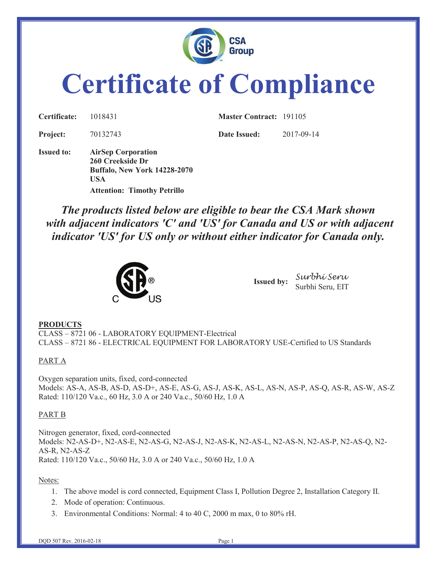

# **Certificate of Compliance**

| Certificate:      | 1018431                                                                                            | <b>Master Contract: 191105</b> |            |
|-------------------|----------------------------------------------------------------------------------------------------|--------------------------------|------------|
| <b>Project:</b>   | 70132743                                                                                           | Date Issued:                   | 2017-09-14 |
| <b>Issued to:</b> | <b>AirSep Corporation</b><br>260 Creekside Dr<br><b>Buffalo, New York 14228-2070</b><br><b>USA</b> |                                |            |
|                   | <b>Attention: Timothy Petrillo</b>                                                                 |                                |            |

*The products listed below are eligible to bear the CSA Mark shown with adjacent indicators 'C' and 'US' for Canada and US or with adjacent indicator 'US' for US only or without either indicator for Canada only.* 



**Issued by:** *Surbhi Seru* Surbhi Seru, EIT

#### **PRODUCTS**

CLASS – 8721 06 - LABORATORY EQUIPMENT-Electrical CLASS – 8721 86 - ELECTRICAL EQUIPMENT FOR LABORATORY USE-Certified to US Standards

#### PART A

Oxygen separation units, fixed, cord-connected Models: AS-A, AS-B, AS-D, AS-D+, AS-E, AS-G, AS-J, AS-K, AS-L, AS-N, AS-P, AS-Q, AS-R, AS-W, AS-Z Rated: 110/120 Va.c., 60 Hz, 3.0 A or 240 Va.c., 50/60 Hz, 1.0 A

#### PART B

Nitrogen generator, fixed, cord-connected Models: N2-AS-D+, N2-AS-E, N2-AS-G, N2-AS-J, N2-AS-K, N2-AS-L, N2-AS-N, N2-AS-P, N2-AS-Q, N2- AS-R, N2-AS-Z Rated: 110/120 Va.c., 50/60 Hz, 3.0 A or 240 Va.c., 50/60 Hz, 1.0 A

#### Notes:

- 1. The above model is cord connected, Equipment Class I, Pollution Degree 2, Installation Category II.
- 2. Mode of operation: Continuous.
- 3. Environmental Conditions: Normal: 4 to 40 C, 2000 m max, 0 to 80% rH.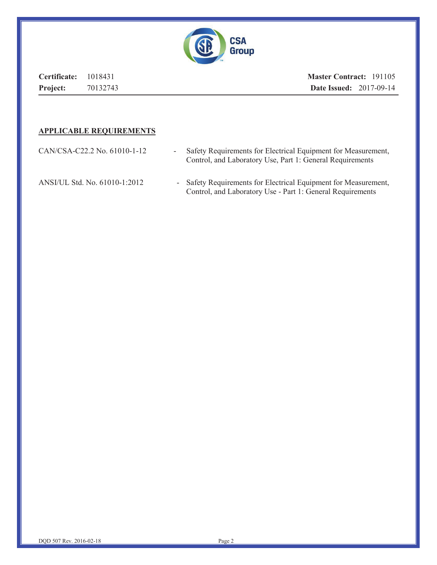

**Certificate:** 1018431 **Project:** 70132743 **Master Contract:** 191105 **Date Issued:** 2017-09-14

#### **APPLICABLE REQUIREMENTS**

| CAN/CSA-C22.2 No. 61010-1-12  | Safety Requirements for Electrical Equipment for Measurement,<br>Control, and Laboratory Use, Part 1: General Requirements    |
|-------------------------------|-------------------------------------------------------------------------------------------------------------------------------|
| ANSI/UL Std. No. 61010-1:2012 | - Safety Requirements for Electrical Equipment for Measurement,<br>Control, and Laboratory Use - Part 1: General Requirements |